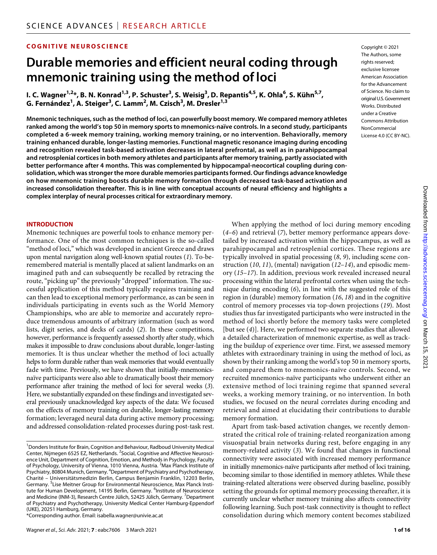# **COGNITIVE NEUROSCIENCE**

# **Durable memories and efficient neural coding through mnemonic training using the method of loci**

**I. C. Wagner1,2\*, B. N. Konrad1,3, P. Schuster3 , S. Weisig3 , D. Repantis4,5, K. Ohla6 , S. Kühn5,7, G. Fernández<sup>1</sup> , A. Steiger3 , C. Lamm2 , M. Czisch3 , M. Dresler1,3**

**Mnemonic techniques, such as the method of loci, can powerfully boost memory. We compared memory athletes ranked among the world's top 50 in memory sports to mnemonics-naïve controls. In a second study, participants completed a 6-week memory training, working memory training, or no intervention. Behaviorally, memory training enhanced durable, longer-lasting memories. Functional magnetic resonance imaging during encoding and recognition revealed task-based activation decreases in lateral prefrontal, as well as in parahippocampal and retrosplenial cortices in both memory athletes and participants after memory training, partly associated with better performance after 4 months. This was complemented by hippocampal-neocortical coupling during consolidation, which was stronger the more durable memories participants formed. Our findings advance knowledge on how mnemonic training boosts durable memory formation through decreased task-based activation and increased consolidation thereafter. This is in line with conceptual accounts of neural efficiency and highlights a complex interplay of neural processes critical for extraordinary memory.**

#### **INTRODUCTION**

Mnemonic techniques are powerful tools to enhance memory performance. One of the most common techniques is the so-called "method of loci," which was developed in ancient Greece and draws upon mental navigation along well-known spatial routes (*1*). To-beremembered material is mentally placed at salient landmarks on an imagined path and can subsequently be recalled by retracing the route, "picking up" the previously "dropped" information. The successful application of this method typically requires training and can then lead to exceptional memory performance, as can be seen in individuals participating in events such as the World Memory Championships, who are able to memorize and accurately reproduce tremendous amounts of arbitrary information (such as word lists, digit series, and decks of cards) (*2*). In these competitions, however, performance is frequently assessed shortly after study, which makes it impossible to draw conclusions about durable, longer-lasting memories. It is thus unclear whether the method of loci actually helps to form durable rather than weak memories that would eventually fade with time. Previously, we have shown that initially-mnemonicsnaïve participants were also able to dramatically boost their memory performance after training the method of loci for several weeks (*3*). Here, we substantially expanded on these findings and investigated several previously unacknowledged key aspects of the data: We focused on the effects of memory training on durable, longer-lasting memory formation; leveraged neural data during active memory processing; and addressed consolidation-related processes during post-task rest. Copyright © 2021 The Authors, some rights reserved: exclusive licensee American Association for the Advancement of Science. No claim to original U.S.Government Works. Distributed under a Creative Commons Attribution **NonCommercial** License 4.0 (CC BY-NC).

When applying the method of loci during memory encoding (*4*–*6*) and retrieval (*7*), better memory performance appears dovetailed by increased activation within the hippocampus, as well as parahippocampal and retrosplenial cortices. These regions are typically involved in spatial processing (*8*, *9*), including scene construction (*10*, *11*), (mental) navigation (*12*–*14*), and episodic memory (*15*–*17*). In addition, previous work revealed increased neural processing within the lateral prefrontal cortex when using the technique during encoding (*6*), in line with the suggested role of this region in (durable) memory formation (*16*, *18*) and in the cognitive control of memory processes via top-down projections (*19*). Most studies thus far investigated participants who were instructed in the method of loci shortly before the memory tasks were completed [but see (*4*)]. Here, we performed two separate studies that allowed a detailed characterization of mnemonic expertise, as well as tracking the buildup of experience over time. First, we assessed memory athletes with extraordinary training in using the method of loci, as shown by their ranking among the world's top 50 in memory sports, and compared them to mnemonics-naïve controls. Second, we recruited mnemonics-naïve participants who underwent either an extensive method of loci training regime that spanned several weeks, a working memory training, or no intervention. In both studies, we focused on the neural correlates during encoding and retrieval and aimed at elucidating their contributions to durable memory formation.

Apart from task-based activation changes, we recently demonstrated the critical role of training-related reorganization among visuospatial brain networks during rest, before engaging in any memory-related activity (*3*). We found that changes in functional connectivity were associated with increased memory performance in initially mnemonics-naïve participants after method of loci training, becoming similar to those identified in memory athletes. While these training-related alterations were observed during baseline, possibly setting the grounds for optimal memory processing thereafter, it is currently unclear whether memory training also affects connectivity following learning. Such post-task connectivity is thought to reflect consolidation during which memory content becomes stabilized

<sup>&</sup>lt;sup>1</sup> Donders Institute for Brain, Cognition and Behaviour, Radboud University Medical Center, Nijmegen 6525 EZ, Netherlands. <sup>2</sup>Social, Cognitive and Affective Neuroscience Unit, Department of Cognition, Emotion, and Methods in Psychology, Faculty of Psychology, University of Vienna, 1010 Vienna, Austria. <sup>3</sup>Max Planck Institute of Psychiatry, 80804 Munich, Germany. <sup>4</sup>Department of Psychiatry and Psychotherapy, Charité – Universitätsmedizin Berlin, Campus Benjamin Franklin, 12203 Berlin, Germany. <sup>5</sup>Lise Meitner Group for Environmental Neuroscience, Max Planck Institute for Human Development, 14195 Berlin, Germany. <sup>6</sup>Institute of Neuroscience and Medicine (INM-3), Research Centre Jülich, 52425 Jülich, Germany. <sup>7</sup>Department of Psychiatry and Psychotherapy, University Medical Center Hamburg-Eppendorf (UKE), 20251 Hamburg, Germany.

<sup>\*</sup>Corresponding author. Email: [isabella.wagner@univie.ac.at](mailto:isabella.wagner@univie.ac.at)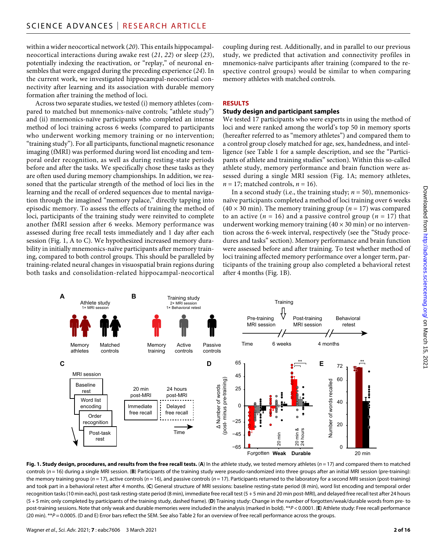within a wider neocortical network (*20*). This entails hippocampalneocortical interactions during awake rest (*21*, *22*) or sleep (*23*), potentially indexing the reactivation, or "replay," of neuronal ensembles that were engaged during the preceding experience (*24*). In the current work, we investigated hippocampal-neocortical connectivity after learning and its association with durable memory formation after training the method of loci.

Across two separate studies, we tested (i) memory athletes (compared to matched but mnemonics-naïve controls; "athlete study") and (ii) mnemonics-naïve participants who completed an intense method of loci training across 6 weeks (compared to participants who underwent working memory training or no intervention; "training study"). For all participants, functional magnetic resonance imaging (fMRI) was performed during word list encoding and temporal order recognition, as well as during resting-state periods before and after the tasks. We specifically chose these tasks as they are often used during memory championships. In addition, we reasoned that the particular strength of the method of loci lies in the learning and the recall of ordered sequences due to mental navigation through the imagined "memory palace," directly tapping into episodic memory. To assess the effects of training the method of loci, participants of the training study were reinvited to complete another fMRI session after 6 weeks. Memory performance was assessed during free recall tests immediately and 1 day after each session (Fig. 1, A to C). We hypothesized increased memory durability in initially mnemonics-naïve participants after memory training, compared to both control groups. This should be paralleled by training-related neural changes in visuospatial brain regions during both tasks and consolidation-related hippocampal-neocortical

coupling during rest. Additionally, and in parallel to our previous study, we predicted that activation and connectivity profiles in mnemonics-naïve participants after training (compared to the respective control groups) would be similar to when comparing memory athletes with matched controls.

#### **RESULTS**

#### **Study design and participant samples**

We tested 17 participants who were experts in using the method of loci and were ranked among the world's top 50 in memory sports (hereafter referred to as "memory athletes") and compared them to a control group closely matched for age, sex, handedness, and intelligence (see Table 1 for a sample description, and see the "Participants of athlete and training studies" section). Within this so-called athlete study, memory performance and brain function were assessed during a single MRI session (Fig. 1A; memory athletes,  $n = 17$ ; matched controls,  $n = 16$ ).

In a second study (i.e., the training study;  $n = 50$ ), mnemonicsnaïve participants completed a method of loci training over 6 weeks  $(40 \times 30 \text{ min})$ . The memory training group  $(n = 17)$  was compared to an active  $(n = 16)$  and a passive control group  $(n = 17)$  that underwent working memory training  $(40 \times 30 \text{ min})$  or no intervention across the 6-week interval, respectively (see the "Study procedures and tasks" section). Memory performance and brain function were assessed before and after training. To test whether method of loci training affected memory performance over a longer term, participants of the training group also completed a behavioral retest after 4 months (Fig. 1B).



**Fig. 1. Study design, procedures, and results from the free recall tests.** (**A**) In the athlete study, we tested memory athletes (*n* = 17) and compared them to matched controls ( $n = 16$ ) during a single MRI session. (B) Participants of the training study were pseudo-randomized into three groups after an initial MRI session (pre-training): the memory training group (*n* = 17), active controls (*n* = 16), and passive controls (*n* = 17). Participants returned to the laboratory for a second MRI session (post-training) and took part in a behavioral retest after 4 months. (**C**) General structure of MRI sessions: baseline resting-state period (8 min), word list encoding and temporal order recognition tasks (10 min each), post-task resting-state period (8 min), immediate free recall test (5 + 5 min and 20 min post-MRI), and delayed free recall test after 24 hours (5 + 5 min; only completed by participants of the training study, dashed frame). (**D**) Training study: Change in the number of forgotten/weak/durable words from pre- to post-training sessions. Note that only weak and durable memories were included in the analysis (marked in bold). \*\*P < 0.0001. (E) Athlete study: Free recall performance (20 min). \*\**P* = 0.0005. (D and E) Error bars reflect the SEM. See also Table 2 for an overview of free recall performance across the groups.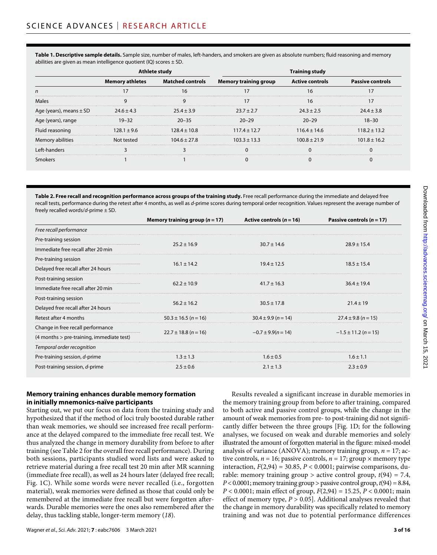**Table 1. Descriptive sample details.** Sample size, number of males, left-handers, and smokers are given as absolute numbers; fluid reasoning and memory abilities are given as mean intelligence quotient (IQ) scores  $\pm$  SD.

|                   | <b>Memory athletes</b> | <b>Matched controls</b> | <b>Memory training group</b> |                  |                  |
|-------------------|------------------------|-------------------------|------------------------------|------------------|------------------|
|                   |                        |                         |                              |                  |                  |
| Males             |                        |                         |                              |                  |                  |
| ears), means ± SD |                        |                         | '+27<br>23 Z                 | ミキフち             |                  |
| ears), range      |                        | $20 - 35$               |                              |                  |                  |
| Fluid reasoning   | $128.1 + 9.6$          | $128.4 \pm 10.8$        | $117.4 \pm 12.7$             | $116.4 \pm 14.6$ | $118.2 + 13.2$   |
| Memory abilities  |                        | 104.6+                  | $103.3 + 13.3$               |                  | $101.8 \pm 16.2$ |
|                   |                        |                         |                              |                  |                  |
|                   |                        |                         |                              |                  |                  |

**Table 2. Free recall and recognition performance across groups of the training study.** Free recall performance during the immediate and delayed free recall tests, performance during the retest after 4 months, as well as *d*-prime scores during temporal order recognition. Values represent the average number of freely recalled words/*d*-prime ± SD.

|                                           | Memory training group ( $n = 17$ ) | Active controls ( $n = 16$ ) | Passive controls ( $n = 17$ ) |
|-------------------------------------------|------------------------------------|------------------------------|-------------------------------|
| Free recall performance                   |                                    |                              |                               |
| Pre-training session                      |                                    | $30.7 \pm 14.6$              | $28.9 \pm 15.4$               |
| Immediate free recall after 20 min        | $25.2 \pm 16.9$                    |                              |                               |
| Pre-training session                      |                                    | $19.4 \pm 12.5$              | $18.5 \pm 15.4$               |
| Delayed free recall after 24 hours        | $16.1 \pm 14.2$                    |                              |                               |
| Post-training session                     | $62.2 \pm 10.9$                    | $41.7 \pm 16.3$              | $36.4 \pm 19.4$               |
| Immediate free recall after 20 min        |                                    |                              |                               |
| Post-training session                     |                                    | $30.5 \pm 17.8$              | $21.4 \pm 19$                 |
| Delayed free recall after 24 hours        | $56.2 \pm 16.2$                    |                              |                               |
| Retest after 4 months                     | $50.3 \pm 16.5$ (n = 16)           | $30.4 \pm 9.9$ (n = 14)      | $27.4 \pm 9.8$ (n = 15)       |
| Change in free recall performance         |                                    | $-0.7 \pm 9.9(n = 14)$       | $-1.5 \pm 11.2$ (n = 15)      |
| (4 months > pre-training, immediate test) | $22.7 \pm 18.8$ (n = 16)           |                              |                               |
| Temporal order recognition                |                                    |                              |                               |
| Pre-training session, d-prime             | $1.3 \pm 1.3$                      | $1.6 \pm 0.5$                | $1.6 \pm 1.1$                 |
| Post-training session, d-prime            | $2.5 \pm 0.6$                      | $2.1 \pm 1.3$                | $2.3 \pm 0.9$                 |

# **Memory training enhances durable memory formation in initially mnemonics-naïve participants**

Starting out, we put our focus on data from the training study and hypothesized that if the method of loci truly boosted durable rather than weak memories, we should see increased free recall performance at the delayed compared to the immediate free recall test. We thus analyzed the change in memory durability from before to after training (see Table 2 for the overall free recall performance). During both sessions, participants studied word lists and were asked to retrieve material during a free recall test 20 min after MR scanning (immediate free recall), as well as 24 hours later (delayed free recall; Fig. 1C). While some words were never recalled (i.e., forgotten material), weak memories were defined as those that could only be remembered at the immediate free recall but were forgotten afterwards. Durable memories were the ones also remembered after the delay, thus tackling stable, longer-term memory (*18*).

Results revealed a significant increase in durable memories in the memory training group from before to after training, compared to both active and passive control groups, while the change in the amount of weak memories from pre- to post-training did not significantly differ between the three groups [Fig. 1D; for the following analyses, we focused on weak and durable memories and solely illustrated the amount of forgotten material in the figure: mixed-model analysis of variance (ANOVA); memory training group,  $n = 17$ ; active controls,  $n = 16$ ; passive controls,  $n = 17$ ; group  $\times$  memory type interaction,  $F(2,94) = 30.85$ ,  $P < 0.0001$ ; pairwise comparisons, durable: memory training group  $>$  active control group,  $t(94) = 7.4$ ,  $P < 0.0001$ ; memory training group > passive control group,  $t(94) = 8.84$ , *P* < 0.0001; main effect of group, *F*(2,94) = 15.25, *P* < 0.0001; main effect of memory type, *P* > 0.05]. Additional analyses revealed that the change in memory durability was specifically related to memory training and was not due to potential performance differences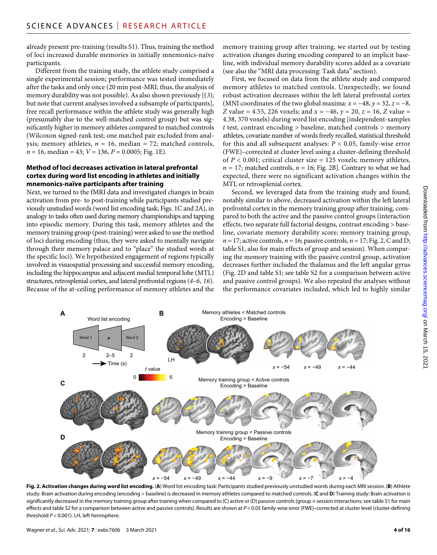already present pre-training (results S1). Thus, training the method of loci increased durable memories in initially mnemonics-naïve participants.

Different from the training study, the athlete study comprised a single experimental session; performance was tested immediately after the tasks and only once (20 min post-MRI; thus, the analysis of memory durability was not possible). As also shown previously [(*3*); but note that current analyses involved a subsample of participants], free recall performance within the athlete study was generally high (presumably due to the well-matched control group) but was significantly higher in memory athletes compared to matched controls (Wilcoxon signed-rank test; one matched pair excluded from analysis; memory athletes,  $n = 16$ , median = 72; matched controls, *n* = 16, median = 43; *V* = 136, *P* = 0.0005; Fig. 1E).

#### **Method ofloci decreases activation in lateral prefrontal cortex during word list encoding in athletes and initially mnemonics-naïve participants after training**

Next, we turned to the fMRI data and investigated changes in brain activation from pre- to post-training while participants studied previously unstudied words (word list encoding task; Figs. 1C and 2A), in analogy to tasks often used during memory championships and tapping into episodic memory. During this task, memory athletes and the memory training group (post-training) were asked to use the method of loci during encoding (thus, they were asked to mentally navigate through their memory palace and to "place" the studied words at the specific loci). We hypothesized engagement of regions typically involved in visuospatial processing and successful memory encoding, including the hippocampus and adjacent medial temporal lobe (MTL) structures, retrosplenial cortex, and lateral prefrontal regions (*4*–*6*, *16*). Because of the at-ceiling performance of memory athletes and the

memory training group after training, we started out by testing activation changes during encoding compared to an implicit baseline, with individual memory durability scores added as a covariate (see also the "MRI data processing: Task data" section).

First, we focused on data from the athlete study and compared memory athletes to matched controls. Unexpectedly, we found robust activation decreases within the left lateral prefrontal cortex (MNI coordinates of the two global maxima:  $x = -48$ ,  $y = 32$ ,  $z = -8$ , *Z* value = 4.55, 226 voxels; and *x* = −46, *y* = 20, *z* = 16, *Z* value = 4.38, 370 voxels) during word list encoding [independent-samples *t* test, contrast encoding > baseline, matched controls > memory athletes, covariate number of words freely recalled, statistical threshold for this and all subsequent analyses: *P* < 0.05, family-wise error (FWE)–corrected at cluster level using a cluster-defining threshold of  $P < 0.001$ ; critical cluster size = 125 voxels; memory athletes,  $n = 17$ ; matched controls,  $n = 16$ ; Fig. 2B]. Contrary to what we had expected, there were no significant activation changes within the MTL or retrosplenial cortex.

Second, we leveraged data from the training study and found, notably similar to above, decreased activation within the left lateral prefrontal cortex in the memory training group after training, compared to both the active and the passive control groups (interaction effects, two separate full factorial designs, contrast encoding > baseline, covariate memory durability score; memory training group,  $n = 17$ ; active controls,  $n = 16$ ; passive controls,  $n = 17$ ; Fig. 2, C and D; table S1, also for main effects of group and session). When comparing the memory training with the passive control group, activation decreases further included the thalamus and the left angular gyrus (Fig. 2D and table S1; see table S2 for a comparison between active and passive control groups). We also repeated the analyses without the performance covariates included, which led to highly similar



**Fig. 2. Activation changes during word list encoding.** (**A**) Word list encoding task: Participants studied previously unstudied words during each MRI session. (**B**) Athlete study: Brain activation during encoding (encoding > baseline) is decreased in memory athletes compared to matched controls. (**C** and **D**) Training study: Brain activation is significantly decreased in the memory training group after training when compared to (C) active or (D) passive controls (group × session interactions; see table S1 for main effects and table S2 for a comparison between active and passive controls). Results are shown at *P* < 0.05 family-wise error (FWE)–corrected at cluster level (cluster-defining threshold *P* < 0.001). LH, left hemisphere.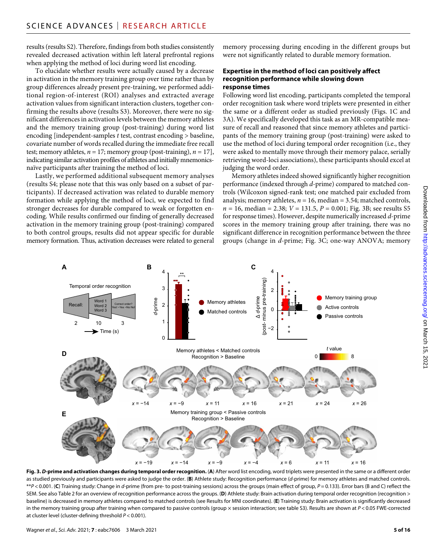results (results S2). Therefore, findings from both studies consistently revealed decreased activation within left lateral prefrontal regions when applying the method of loci during word list encoding.

To elucidate whether results were actually caused by a decrease in activation in the memory training group over time rather than by group differences already present pre-training, we performed additional region-of-interest (ROI) analyses and extracted average activation values from significant interaction clusters, together confirming the results above (results S3). Moreover, there were no significant differences in activation levels between the memory athletes and the memory training group (post-training) during word list encoding [independent-samples *t* test, contrast encoding > baseline, covariate number of words recalled during the immediate free recall test; memory athletes,  $n = 17$ ; memory group (post-training),  $n = 17$ ], indicating similar activation profiles of athletes and initially mnemonicsnaïve participants after training the method of loci.

Lastly, we performed additional subsequent memory analyses (results S4; please note that this was only based on a subset of participants). If decreased activation was related to durable memory formation while applying the method of loci, we expected to find stronger decreases for durable compared to weak or forgotten encoding. While results confirmed our finding of generally decreased activation in the memory training group (post-training) compared to both control groups, results did not appear specific for durable memory formation. Thus, activation decreases were related to general

memory processing during encoding in the different groups but were not significantly related to durable memory formation.

#### **Expertise in the method ofloci can positively affect recognition performance while slowing down response times**

Following word list encoding, participants completed the temporal order recognition task where word triplets were presented in either the same or a different order as studied previously (Figs. 1C and 3A). We specifically developed this task as an MR-compatible measure of recall and reasoned that since memory athletes and participants of the memory training group (post-training) were asked to use the method of loci during temporal order recognition (i.e., they were asked to mentally move through their memory palace, serially retrieving word-loci associations), these participants should excel at judging the word order.

Memory athletes indeed showed significantly higher recognition performance (indexed through *d*-prime) compared to matched controls (Wilcoxon signed-rank test; one matched pair excluded from analysis; memory athletes,  $n = 16$ , median = 3.54; matched controls, *n* = 16, median = 2.38; *V* = 131.5, *P* = 0.001; Fig. 3B; see results S5 for response times). However, despite numerically increased *d*-prime scores in the memory training group after training, there was no significant difference in recognition performance between the three groups (change in *d*-prime; Fig. 3C; one-way ANOVA; memory



**Fig. 3.** *D***-prime and activation changes during temporal order recognition.** (**A**) After word list encoding, word triplets were presented in the same or a different order as studied previously and participants were asked to judge the order. (**B**) Athlete study: Recognition performance (*d*-prime) for memory athletes and matched controls. \*\**P* < 0.001. (**C**) Training study: Change in *d*-prime (from pre- to post-training sessions) across the groups (main effect of group, *P* = 0.133). Error bars (B and C) reflect the SEM. See also Table 2 for an overview of recognition performance across the groups. (D) Athlete study: Brain activation during temporal order recognition (recognition > baseline) is decreased in memory athletes compared to matched controls (see Results for MNI coordinates). (**E**) Training study: Brain activation is significantly decreased in the memory training group after training when compared to passive controls (group × session interaction; see table S3). Results are shown at *P* < 0.05 FWE-corrected at cluster level (cluster-defining threshold *P* < 0.001).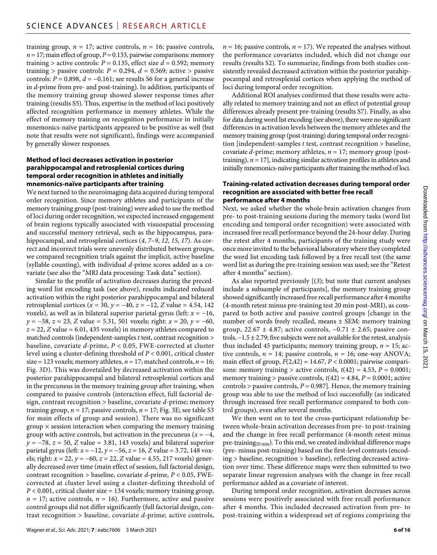training group,  $n = 17$ ; active controls,  $n = 16$ ; passive controls,  $n = 17$ ; main effect of group,  $P = 0.133$ , pairwise comparisons: memory training > active controls:  $P = 0.135$ , effect size  $d = 0.592$ ; memory training > passive controls:  $P = 0.294$ ,  $d = 0.569$ ; active > passive controls:  $P = 0.898$ ,  $d = -0.161$ ; see results S6 for a general increase in *d*-prime from pre- and post-training). In addition, participants of the memory training group showed slower response times after training (results S5). Thus, expertise in the method of loci positively affected recognition performance in memory athletes. While the effect of memory training on recognition performance in initially mnemonics-naïve participants appeared to be positive as well (but note that results were not significant), findings were accompanied by generally slower responses.

# **Method ofloci decreases activation in posterior parahippocampal and retrosplenial cortices during temporal order recognition in athletes and initially mnemonics-naïve participants after training**

We next turned to the neuroimaging data acquired during temporal order recognition. Since memory athletes and participants of the memory training group (post-training) were asked to use the method of loci during order recognition, we expected increased engagement of brain regions typically associated with visuospatial processing and successful memory retrieval, such as the hippocampus, parahippocampal, and retrosplenial cortices (*4*, *7*–*9*, *12*, *15*, *17*). As correct and incorrect trials were unevenly distributed between groups, we compared recognition trials against the implicit, active baseline (syllable counting), with individual *d*-prime scores added as a covariate (see also the "MRI data processing: Task data" section).

Similar to the profile of activation decreases during the preceding word list encoding task (see above), results indicated reduced activation within the right posterior parahippocampal and bilateral retrosplenial cortices ( $x = 30$ ,  $y = -40$ ,  $z = -12$ ,  $Z$  value = 4.54, 142 voxels), as well as in bilateral superior parietal gyrus (left: *x* = −16, *y* = −58, *z* = 23, *Z* value = 5.31, 501 voxels; right: *x* = 20, *y* = −60,  $z = 22$ , *Z* value = 6.01, 435 voxels) in memory athletes compared to matched controls (independent-samples *t* test, contrast recognition > baseline, covariate *d*-prime, *P* < 0.05, FWE-corrected at cluster level using a cluster-defining threshold of *P* < 0.001, critical cluster size = 123 voxels; memory athletes,  $n = 17$ ; matched controls,  $n = 16$ ; Fig. 3D). This was dovetailed by decreased activation within the posterior parahippocampal and bilateral retrosplenial cortices and in the precuneus in the memory training group after training, when compared to passive controls (interaction effect, full factorial design, contrast recognition > baseline, covariate *d*-prime; memory training group,  $n = 17$ ; passive controls,  $n = 17$ ; Fig. 3E; see table S3 for main effects of group and session). There was no significant  $\gamma$  group  $\times$  session interaction when comparing the memory training group with active controls, but activation in the precuneus  $(x = -4)$ , *y* = −78, *z* = 50, *Z* value = 3.81, 143 voxels) and bilateral superior parietal gyrus (left: *x* = −12, *y* = −56, *z* = 16, *Z* value = 3.72, 148 voxels; right: *x* = 22, *y* = −60, *z* = 22, *Z* value = 4.55, 217 voxels) generally decreased over time (main effect of session, full factorial design, contrast recognition > baseline, covariate *d*-prime, *P* < 0.05, FWEcorrected at cluster level using a cluster-defining threshold of  $P < 0.001$ , critical cluster size = 134 voxels; memory training group,  $n = 17$ ; active controls,  $n = 16$ ). Furthermore, active and passive control groups did not differ significantly (full factorial design, contrast recognition > baseline, covariate *d*-prime; active controls,

 $n = 16$ ; passive controls,  $n = 17$ ). We repeated the analyses without the performance covariates included, which did not change our results (results S2). To summarize, findings from both studies consistently revealed decreased activation within the posterior parahippocampal and retrosplenial cortices when applying the method of loci during temporal order recognition.

Additional ROI analyses confirmed that these results were actually related to memory training and not an effect of potential group differences already present pre-training (results S7). Finally, as also for data during word list encoding (see above), there were no significant differences in activation levels between the memory athletes and the memory training group (post-training) during temporal order recognition [independent-samples *t* test, contrast recognition > baseline, covariate *d*-prime; memory athletes, *n* = 17; memory group (posttraining),  $n = 17$ ], indicating similar activation profiles in athletes and initially mnemonics-naïve participants after training the method of loci.

#### **Training-related activation decreases during temporal order recognition are associated with better free recall performance after 4 months**

Next, we asked whether the whole-brain activation changes from pre- to post-training sessions during the memory tasks (word list encoding and temporal order recognition) were associated with increased free recall performance beyond the 24-hour delay. During the retest after 4 months, participants of the training study were once more invited to the behavioral laboratory where they completed the word list encoding task followed by a free recall test (the same word list as during the pre-training session was used; see the "Retest after 4 months" section).

As also reported previously [(*3*); but note that current analyses include a subsample of participants], the memory training group showed significantly increased free recall performance after 4 months (4-month retest minus pre-training test 20 min post-MRI), as compared to both active and passive control groups [change in the number of words freely recalled, means ± SEM: memory training group, 22.67  $\pm$  4.87; active controls, -0.71  $\pm$  2.65; passive controls,  $-1.5 \pm 2.79$ ; five subjects were not available for the retest, analysis thus included 45 participants; memory training group,  $n = 15$ ; active controls,  $n = 14$ ; passive controls,  $n = 16$ ; one-way ANOVA; main effect of group,  $F(2,42) = 14.67$ ,  $P < 0.0001$ ; pairwise comparisons: memory training > active controls,  $t(42) = 4.53$ ,  $P = 0.0001$ ; memory training > passive controls,  $t(42) = 4.84$ ,  $P = 0.0001$ ; active controls > passive controls, *P* = 0.987]. Hence, the memory training group was able to use the method of loci successfully (as indicated through increased free recall performance compared to both control groups), even after several months.

We then went on to test the cross-participant relationship between whole-brain activation decreases from pre- to post-training and the change in free recall performance (4-month retest minus pre-training<sub>20 min</sub>). To this end, we created individual difference maps (pre- minus post-training) based on the first-level contrasts (encoding > baseline, recognition > baseline), reflecting decreased activation over time. These difference maps were then submitted to two separate linear regression analyses with the change in free recall performance added as a covariate of interest.

During temporal order recognition, activation decreases across sessions were positively associated with free recall performance after 4 months. This included decreased activation from pre- to post-training within a widespread set of regions comprising the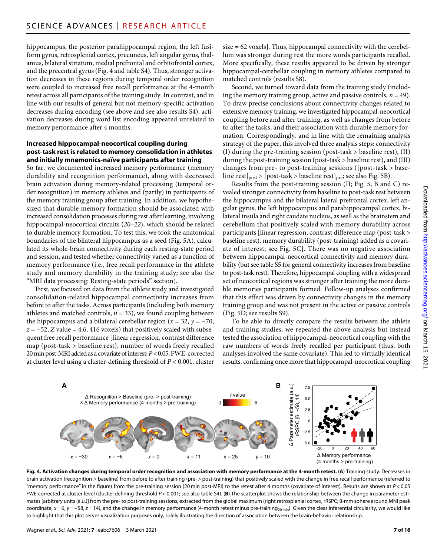hippocampus, the posterior parahippocampal region, the left fusiform gyrus, retrosplenial cortex, precuneus, left angular gyrus, thalamus, bilateral striatum, medial prefrontal and orbitofrontal cortex, and the precentral gyrus (Fig. 4 and table S4). Thus, stronger activation decreases in these regions during temporal order recognition were coupled to increased free recall performance at the 4-month retest across all participants of the training study. In contrast, and in line with our results of general but not memory-specific activation decreases during encoding (see above and see also results S4), activation decreases during word list encoding appeared unrelated to memory performance after 4 months.

#### **Increased hippocampal-neocortical coupling during post-task rest is related to memory consolidation in athletes and initially mnemonics-naïve participants after training**

So far, we documented increased memory performance (memory durability and recognition performance), along with decreased brain activation during memory-related processing (temporal order recognition) in memory athletes and (partly) in participants of the memory training group after training. In addition, we hypothesized that durable memory formation should be associated with increased consolidation processes during rest after learning, involving hippocampal-neocortical circuits (*20*–*22*), which should be related to durable memory formation. To test this, we took the anatomical boundaries of the bilateral hippocampus as a seed (Fig. 5A), calculated its whole-brain connectivity during each resting-state period and session, and tested whether connectivity varied as a function of memory performance (i.e., free recall performance in the athlete study and memory durability in the training study; see also the "MRI data processing: Resting-state periods" section).

First, we focused on data from the athlete study and investigated consolidation-related hippocampal connectivity increases from before to after the tasks. Across participants (including both memory athletes and matched controls,  $n = 33$ ), we found coupling between the hippocampus and a bilateral cerebellar region ( $x = 32$ ,  $y = -70$ , *z* = −52, *Z* value = 4.6, 416 voxels) that positively scaled with subsequent free recall performance [linear regression, contrast difference map (post-task > baseline rest), number of words freely recalled 20 min post-MRI added as a covariate of interest; *P* < 0.05, FWE-corrected at cluster level using a cluster-defining threshold of *P* < 0.001, cluster size = 62 voxels]. Thus, hippocampal connectivity with the cerebellum was stronger during rest the more words participants recalled. More specifically, these results appeared to be driven by stronger hippocampal-cerebellar coupling in memory athletes compared to matched controls (results S8).

Second, we turned toward data from the training study (including the memory training group, active and passive controls,  $n = 49$ ). To draw precise conclusions about connectivity changes related to extensive memory training, we investigated hippocampal-neocortical coupling before and after training, as well as changes from before to after the tasks, and their association with durable memory formation. Correspondingly, and in line with the remaining analysis strategy of the paper, this involved three analysis steps: connectivity (I) during the pre-training session (post-task > baseline rest), (II) during the post-training session (post-task > baseline rest), and (III) changes from pre- to post-training sessions ([post-task > baseline rest]<sub>post</sub> > [post-task > baseline rest]<sub>pre</sub>; see also Fig. 5B).

Results from the post-training session (II; Fig. 5, B and C) revealed stronger connectivity from baseline to post-task rest between the hippocampus and the bilateral lateral prefrontal cortex, left angular gyrus, the left hippocampus and parahippocampal cortex, bilateral insula and right caudate nucleus, as well as the brainstem and cerebellum that positively scaled with memory durability across participants [linear regression, contrast difference map (post-task > baseline rest), memory durability (post-training) added as a covariate of interest; see Fig. 5C]. There was no negative association between hippocampal-neocortical connectivity and memory durability (but see table S5 for general connectivity increases from baseline to post-task rest). Therefore, hippocampal coupling with a widespread set of neocortical regions was stronger after training the more durable memories participants formed. Follow-up analyses confirmed that this effect was driven by connectivity changes in the memory training group and was not present in the active or passive controls (Fig. 5D; see results S9).

To be able to directly compare the results between the athlete and training studies, we repeated the above analysis but instead tested the association of hippocampal-neocortical coupling with the raw numbers of words freely recalled per participant (thus, both analyses involved the same covariate). This led to virtually identical results, confirming once more that hippocampal-neocortical coupling



**Fig. 4. Activation changes during temporal order recognition and association with memory performance at the 4-month retest.** (**A**) Training study: Decreases in brain activation (recognition > baseline) from before to after training (pre- > post-training) that positively scaled with the change in free recall performance (referred to "memory performance" in the figure) from the pre-training session (20 min post-MRI) to the retest after 4 months (covariate of interest). Results are shown at *P* < 0.05 FWE-corrected at cluster level (cluster-defining threshold *P* < 0.001; see also table S4). (**B**) The scatterplot shows the relationship between the change in parameter estimates [arbitrary units (a.u.)] from the pre- to post-training sessions, extracted from the global maximum (right retrosplenial cortex, rRSPC; 8-mm sphere around MNI peak coordinate,  $x = 6$ ,  $y = -58$ ,  $z = 14$ ), and the change in memory performance (4-month retest minus pre-training<sub>20 min</sub>). Given the clear inferential circularity, we would like to highlight that this plot serves visualization purposes only, solely illustrating the direction of association between the brain-behavior relationship.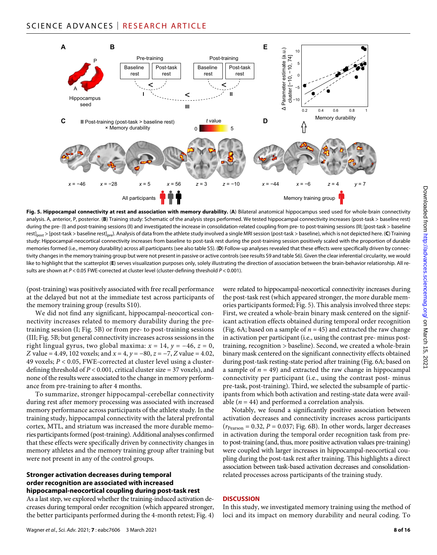

**Fig. 5. Hippocampal connectivity at rest and association with memory durability.** (**A**) Bilateral anatomical hippocampus seed used for whole-brain connectivity analysis. A, anterior, P, posterior. (**B**) Training study: Schematic of the analysis steps performed. We tested hippocampal connectivity increases (post-task > baseline rest) during the pre- (I) and post-training sessions (II) and investigated the increase in consolidation-related coupling from pre- to post-training sessions (III; [post-task > baseline rest]post > [post-task > baseline rest]pre). Analysis of data from the athlete study involved a single MRI session (post-task > baseline), which is not depicted here. (**C**) Training study: Hippocampal-neocortical connectivity increases from baseline to post-task rest during the post-training session positively scaled with the proportion of durable memories formed (i.e., memory durability) across all participants (see also table S5). (**D**) Follow-up analyses revealed that these effects were specifically driven by connectivity changes in the memory training group but were not present in passive or active controls (see results S9 and table S6). Given the clear inferential circularity, we would like to highlight that the scatterplot (**E**) serves visualization purposes only, solely illustrating the direction of association between the brain-behavior relationship. All results are shown at *P* < 0.05 FWE-corrected at cluster level (cluster-defining threshold *P* < 0.001).

(post-training) was positively associated with free recall performance at the delayed but not at the immediate test across participants of the memory training group (results S10).

We did not find any significant, hippocampal-neocortical connectivity increases related to memory durability during the pretraining session (I; Fig. 5B) or from pre- to post-training sessions (III; Fig. 5B; but general connectivity increases across sessions in the right lingual gyrus, two global maxima:  $x = 14$ ,  $y = -46$ ,  $z = 0$ , *Z* value = 4.49, 102 voxels; and *x* = 4, *y* = −80, *z* = −7, *Z* value = 4.02, 49 voxels; *P* < 0.05, FWE-corrected at cluster level using a clusterdefining threshold of *P* < 0.001, critical cluster size = 37 voxels), and none of the results were associated to the change in memory performance from pre-training to after 4 months.

To summarize, stronger hippocampal-cerebellar connectivity during rest after memory processing was associated with increased memory performance across participants of the athlete study. In the training study, hippocampal connectivity with the lateral prefrontal cortex, MTL, and striatum was increased the more durable memories participants formed (post-training). Additional analyses confirmed that these effects were specifically driven by connectivity changes in memory athletes and the memory training group after training but were not present in any of the control groups.

#### **Stronger activation decreases during temporal order recognition are associated with increased hippocampal-neocortical coupling during post-task rest**

As a last step, we explored whether the training-induced activation decreases during temporal order recognition (which appeared stronger, the better participants performed during the 4-month retest; Fig. 4)

the post-task rest (which appeared stronger, the more durable memories participants formed; Fig. 5). This analysis involved three steps: First, we created a whole-brain binary mask centered on the significant activation effects obtained during temporal order recognition (Fig. 6A; based on a sample of  $n = 45$ ) and extracted the raw change in activation per participant (i.e., using the contrast pre- minus posttraining, recognition > baseline). Second, we created a whole-brain binary mask centered on the significant connectivity effects obtained during post-task resting-state period after training (Fig. 6A; based on a sample of  $n = 49$ ) and extracted the raw change in hippocampal connectivity per participant (i.e., using the contrast post- minus pre-task, post-training). Third, we selected the subsample of participants from which both activation and resting-state data were available  $(n = 44)$  and performed a correlation analysis.

were related to hippocampal-neocortical connectivity increases during

Notably, we found a significantly positive association between activation decreases and connectivity increases across participants  $(r_{Pearson} = 0.32, P = 0.037; Fig. 6B)$ . In other words, larger decreases in activation during the temporal order recognition task from preto post-training (and, thus, more positive activation values pre-training) were coupled with larger increases in hippocampal-neocortical coupling during the post-task rest after training. This highlights a direct association between task-based activation decreases and consolidationrelated processes across participants of the training study.

# **DISCUSSION**

In this study, we investigated memory training using the method of loci and its impact on memory durability and neural coding. To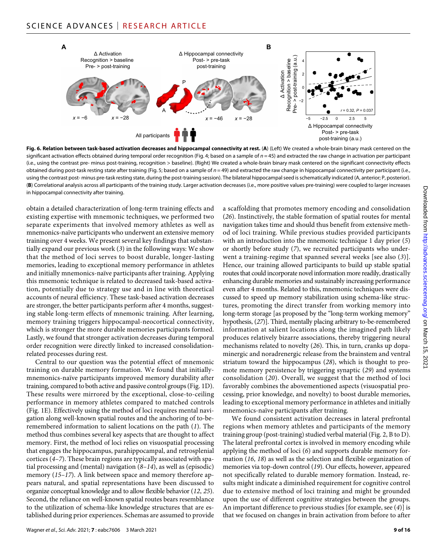

Fig. 6. Relation between task-based activation decreases and hippocampal connectivity at rest. (A) (Left) We created a whole-brain binary mask centered on the significant activation effects obtained during temporal order recognition (Fig. 4; based on a sample of *n* = 45) and extracted the raw change in activation per participant (i.e., using the contrast pre- minus post-training, recognition > baseline). (Right) We created a whole-brain binary mask centered on the significant connectivity effects obtained during post-task resting state after training (Fig. 5; based on a sample of *n* = 49) and extracted the raw change in hippocampal connectivity per participant (i.e., using the contrast post- minus pre-task resting state, during the post-training session). The bilateral hippocampal seed is schematically indicated (A, anterior; P, posterior). (**B**) Correlational analysis across all participants of the training study. Larger activation decreases (i.e., more positive values pre-training) were coupled to larger increases in hippocampal connectivity after training.

obtain a detailed characterization of long-term training effects and existing expertise with mnemonic techniques, we performed two separate experiments that involved memory athletes as well as mnemonics-naïve participants who underwent an extensive memory training over 4 weeks. We present several key findings that substantially expand our previous work (*3*) in the following ways: We show that the method of loci serves to boost durable, longer-lasting memories, leading to exceptional memory performance in athletes and initially mnemonics-naïve participants after training. Applying this mnemonic technique is related to decreased task-based activation, potentially due to strategy use and in line with theoretical accounts of neural efficiency. These task-based activation decreases are stronger, the better participants perform after 4 months, suggesting stable long-term effects of mnemonic training. After learning, memory training triggers hippocampal-neocortical connectivity, which is stronger the more durable memories participants formed. Lastly, we found that stronger activation decreases during temporal order recognition were directly linked to increased consolidationrelated processes during rest.

Central to our question was the potential effect of mnemonic training on durable memory formation. We found that initiallymnemonics-naïve participants improved memory durability after training, compared to both active and passive control groups (Fig. 1D). These results were mirrored by the exceptional, close-to-ceiling performance in memory athletes compared to matched controls (Fig. 1E). Effectively using the method of loci requires mental navigation along well-known spatial routes and the anchoring of to-beremembered information to salient locations on the path (*1*). The method thus combines several key aspects that are thought to affect memory. First, the method of loci relies on visuospatial processing that engages the hippocampus, parahippocampal, and retrosplenial cortices (*4*–*7*). These brain regions are typically associated with spatial processing and (mental) navigation (*8*–*14*), as well as (episodic) memory (*15*–*17*). A link between space and memory therefore appears natural, and spatial representations have been discussed to organize conceptual knowledge and to allow flexible behavior (*12*, *25*). Second, the reliance on well-known spatial routes bears resemblance to the utilization of schema-like knowledge structures that are established during prior experiences. Schemas are assumed to provide

Wagner *et al*., *Sci. Adv.* 2021; **7** : eabc7606 3 March 2021

a scaffolding that promotes memory encoding and consolidation (*26*). Instinctively, the stable formation of spatial routes for mental navigation takes time and should thus benefit from extensive method of loci training. While previous studies provided participants with an introduction into the mnemonic technique 1 day prior (*5*) or shortly before study (*7*), we recruited participants who underwent a training-regime that spanned several weeks [see also (*3*)]. Hence, our training allowed participants to build up stable spatial routes that could incorporate novel information more readily, drastically enhancing durable memories and sustainably increasing performance even after 4 months. Related to this, mnemonic techniques were discussed to speed up memory stabilization using schema-like structures, promoting the direct transfer from working memory into long-term storage [as proposed by the "long-term working memory" hypothesis, (*27*)]. Third, mentally placing arbitrary to-be-remembered information at salient locations along the imagined path likely produces relatively bizarre associations, thereby triggering neural mechanisms related to novelty (*26*). This, in turn, cranks up dopaminergic and noradrenergic release from the brainstem and ventral striatum toward the hippocampus (*28*), which is thought to promote memory persistence by triggering synaptic (*29*) and systems consolidation (*20*). Overall, we suggest that the method of loci favorably combines the abovementioned aspects (visuospatial processing, prior knowledge, and novelty) to boost durable memories, leading to exceptional memory performance in athletes and initially mnemonics-naïve participants after training.

We found consistent activation decreases in lateral prefrontal regions when memory athletes and participants of the memory training group (post-training) studied verbal material (Fig. 2, B to D). The lateral prefrontal cortex is involved in memory encoding while applying the method of loci (*6*) and supports durable memory formation (*16*, *18*) as well as the selection and flexible organization of memories via top-down control (*19*). Our effects, however, appeared not specifically related to durable memory formation. Instead, results might indicate a diminished requirement for cognitive control due to extensive method of loci training and might be grounded upon the use of different cognitive strategies between the groups. An important difference to previous studies [for example, see (*4*)] is that we focused on changes in brain activation from before to after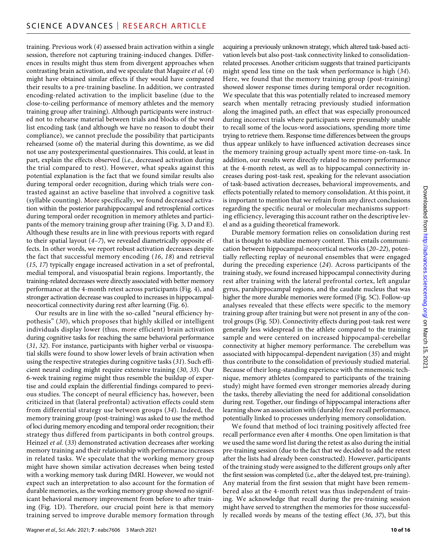training. Previous work (*4*) assessed brain activation within a single session, therefore not capturing training-induced changes. Differences in results might thus stem from divergent approaches when contrasting brain activation, and we speculate that Maguire *et al.* (*4*) might have obtained similar effects if they would have compared their results to a pre-training baseline. In addition, we contrasted encoding-related activation to the implicit baseline (due to the close-to-ceiling performance of memory athletes and the memory training group after training). Although participants were instructed not to rehearse material between trials and blocks of the word list encoding task (and although we have no reason to doubt their compliance), we cannot preclude the possibility that participants rehearsed (some of) the material during this downtime, as we did not use any postexperimental questionnaires. This could, at least in part, explain the effects observed (i.e., decreased activation during the trial compared to rest). However, what speaks against this potential explanation is the fact that we found similar results also during temporal order recognition, during which trials were contrasted against an active baseline that involved a cognitive task (syllable counting). More specifically, we found decreased activation within the posterior parahippocampal and retrosplenial cortices during temporal order recognition in memory athletes and participants of the memory training group after training (Fig. 3, D and E). Although these results are in line with previous reports with regard to their spatial layout (*4*–*7*), we revealed diametrically opposite effects. In other words, we report robust activation decreases despite the fact that successful memory encoding (*16*, *18*) and retrieval (*15*, *17*) typically engage increased activation in a set of prefrontal, medial temporal, and visuospatial brain regions. Importantly, the training-related decreases were directly associated with better memory performance at the 4-month retest across participants (Fig. 4), and stronger activation decrease was coupled to increases in hippocampalneocortical connectivity during rest after learning (Fig. 6).

Our results are in line with the so-called "neural efficiency hypothesis" (*30*), which proposes that highly skilled or intelligent individuals display lower (thus, more efficient) brain activation during cognitive tasks for reaching the same behavioral performance (*31*, *32*). For instance, participants with higher verbal or visuospatial skills were found to show lower levels of brain activation when using the respective strategies during cognitive tasks (*31*). Such efficient neural coding might require extensive training (*30*, *33*). Our 6-week training regime might thus resemble the buildup of expertise and could explain the differential findings compared to previous studies. The concept of neural efficiency has, however, been criticized in that (lateral prefrontal) activation effects could stem from differential strategy use between groups (*34*). Indeed, the memory training group (post-training) was asked to use the method of loci during memory encoding and temporal order recognition; their strategy thus differed from participants in both control groups. Heinzel *et al.* (*33*) demonstrated activation decreases after working memory training and their relationship with performance increases in related tasks. We speculate that the working memory group might have shown similar activation decreases when being tested with a working memory task during fMRI. However, we would not expect such an interpretation to also account for the formation of durable memories, as the working memory group showed no significant behavioral memory improvement from before to after training (Fig. 1D). Therefore, our crucial point here is that memory training served to improve durable memory formation through

Wagner *et al*., *Sci. Adv.* 2021; **7** : eabc7606 3 March 2021

acquiring a previously unknown strategy, which altered task-based activation levels but also post-task connectivity linked to consolidationrelated processes. Another criticism suggests that trained participants might spend less time on the task when performance is high (*34*). Here, we found that the memory training group (post-training) showed slower response times during temporal order recognition. We speculate that this was potentially related to increased memory search when mentally retracing previously studied information along the imagined path, an effect that was especially pronounced during incorrect trials where participants were presumably unable to recall some of the locus-word associations, spending more time trying to retrieve them. Response time differences between the groups thus appear unlikely to have influenced activation decreases since the memory training group actually spent more time-on-task. In addition, our results were directly related to memory performance at the 4-month retest, as well as to hippocampal connectivity increases during post-task rest, speaking for the relevant association of task-based activation decreases, behavioral improvements, and effects potentially related to memory consolidation. At this point, it is important to mention that we refrain from any direct conclusions regarding the specific neural or molecular mechanisms supporting efficiency, leveraging this account rather on the descriptive level and as a guiding theoretical framework.

Durable memory formation relies on consolidation during rest that is thought to stabilize memory content. This entails communication between hippocampal-neocortical networks (*20*–*22*), potentially reflecting replay of neuronal ensembles that were engaged during the preceding experience (*24*). Across participants of the training study, we found increased hippocampal connectivity during rest after training with the lateral prefrontal cortex, left angular gyrus, parahippocampal regions, and the caudate nucleus that was higher the more durable memories were formed (Fig. 5C). Follow-up analyses revealed that these effects were specific to the memory training group after training but were not present in any of the control groups (Fig. 5D). Connectivity effects during post-task rest were generally less widespread in the athlete compared to the training sample and were centered on increased hippocampal-cerebellar connectivity at higher memory performance. The cerebellum was associated with hippocampal-dependent navigation (*35*) and might thus contribute to the consolidation of previously studied material. Because of their long-standing experience with the mnemonic technique, memory athletes (compared to participants of the training study) might have formed even stronger memories already during the tasks, thereby alleviating the need for additional consolidation during rest. Together, our findings of hippocampal interactions after learning show an association with (durable) free recall performance, potentially linked to processes underlying memory consolidation.

We found that method of loci training positively affected free recall performance even after 4 months. One open limitation is that we used the same word list during the retest as also during the initial pre-training session (due to the fact that we decided to add the retest after the lists had already been constructed). However, participants of the training study were assigned to the different groups only after the first session was completed (i.e., after the delayed test, pre-training). Any material from the first session that might have been remembered also at the 4-month retest was thus independent of training. We acknowledge that recall during the pre-training session might have served to strengthen the memories for those successfully recalled words by means of the testing effect (*36*, *37*), but this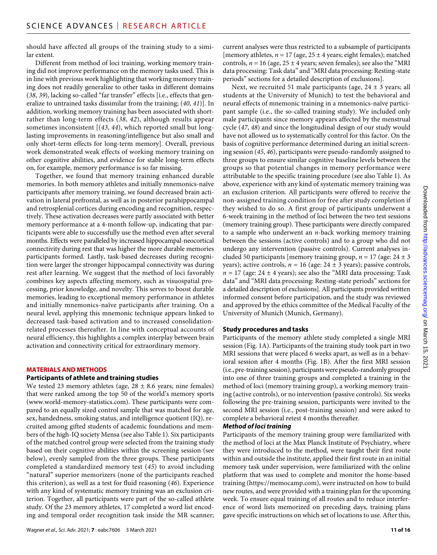should have affected all groups of the training study to a similar extent.

Different from method of loci training, working memory training did not improve performance on the memory tasks used. This is in line with previous work highlighting that working memory training does not readily generalize to other tasks in different domains (*38*, *39*), lacking so-called "far transfer" effects [i.e., effects that generalize to untrained tasks dissimilar from the training; (*40*, *41*)]. In addition, working memory training has been associated with shortrather than long-term effects (*38*, *42*), although results appear sometimes inconsistent [(*43*, *44*), which reported small but longlasting improvements in reasoning/intelligence but also small and only short-term effects for long-term memory]. Overall, previous work demonstrated weak effects of working memory training on other cognitive abilities, and evidence for stable long-term effects on, for example, memory performance is so far missing.

Together, we found that memory training enhanced durable memories. In both memory athletes and initially mnemonics-naïve participants after memory training, we found decreased brain activation in lateral prefrontal, as well as in posterior parahippocampal and retrosplenial cortices during encoding and recognition, respectively. These activation decreases were partly associated with better memory performance at a 4-month follow-up, indicating that participants were able to successfully use the method even after several months. Effects were paralleled by increased hippocampal-neocortical connectivity during rest that was higher the more durable memories participants formed. Lastly, task-based decreases during recognition were larger the stronger hippocampal connectivity was during rest after learning. We suggest that the method of loci favorably combines key aspects affecting memory, such as visuospatial processing, prior knowledge, and novelty. This serves to boost durable memories, leading to exceptional memory performance in athletes and initially mnemonics-naïve participants after training. On a neural level, applying this mnemonic technique appears linked to decreased task-based activation and to increased consolidationrelated processes thereafter. In line with conceptual accounts of neural efficiency, this highlights a complex interplay between brain activation and connectivity critical for extraordinary memory.

# **MATERIALS AND METHODS**

#### **Participants of athlete and training studies**

We tested 23 memory athletes (age,  $28 \pm 8.6$  years; nine females) that were ranked among the top 50 of the world's memory sports [\(www.world-memory-statistics.com](http://www.world-memory-statistics.com)). These participants were compared to an equally sized control sample that was matched for age, sex, handedness, smoking status, and intelligence quotient (IQ), recruited among gifted students of academic foundations and members of the high-IQ society Mensa (see also Table 1). Six participants of the matched control group were selected from the training study based on their cognitive abilities within the screening session (see below), evenly sampled from the three groups. These participants completed a standardized memory test (*45*) to avoid including "natural" superior memorizers (none of the participants reached this criterion), as well as a test for fluid reasoning (*46*). Experience with any kind of systematic memory training was an exclusion criterion. Together, all participants were part of the so-called athlete study. Of the 23 memory athletes, 17 completed a word list encoding and temporal order recognition task inside the MR scanner;

current analyses were thus restricted to a subsample of participants [memory athletes,  $n = 17$  (age,  $25 \pm 4$  years; eight females); matched controls,  $n = 16$  (age,  $25 \pm 4$  years; seven females); see also the "MRI data processing: Task data" and "MRI data processing: Resting-state periods" sections for a detailed description of exclusions].

Next, we recruited 51 male participants (age,  $24 \pm 3$  years; all students at the University of Munich) to test the behavioral and neural effects of mnemonic training in a mnemonics-naïve participant sample (i.e., the so-called training study). We included only male participants since memory appears affected by the menstrual cycle (*47*, *48*) and since the longitudinal design of our study would have not allowed us to systematically control for this factor. On the basis of cognitive performance determined during an initial screening session (*45*, *46*), participants were pseudo-randomly assigned to three groups to ensure similar cognitive baseline levels between the groups so that potential changes in memory performance were attributable to the specific training procedure (see also Table 1). As above, experience with any kind of systematic memory training was an exclusion criterion. All participants were offered to receive the non-assigned training condition for free after study completion if they wished to do so. A first group of participants underwent a 6-week training in the method of loci between the two test sessions (memory training group). These participants were directly compared to a sample who underwent an *n*-back working memory training between the sessions (active controls) and to a group who did not undergo any intervention (passive controls). Current analyses included 50 participants [memory training group,  $n = 17$  (age:  $24 \pm 3$ ) years); active controls,  $n = 16$  (age:  $24 \pm 3$  years); passive controls,  $n = 17$  (age:  $24 \pm 4$  years); see also the "MRI data processing: Task data" and "MRI data processing: Resting-state periods" sections for a detailed description of exclusions]. All participants provided written informed consent before participation, and the study was reviewed and approved by the ethics committee of the Medical Faculty of the University of Munich (Munich, Germany).

#### **Study procedures and tasks**

Participants of the memory athlete study completed a single MRI session (Fig. 1A). Participants of the training study took part in two MRI sessions that were placed 6 weeks apart, as well as in a behavioral session after 4 months (Fig. 1B). After the first MRI session (i.e., pre-training session), participants were pseudo-randomly grouped into one of three training groups and completed a training in the method of loci (memory training group), a working memory training (active controls), or no intervention (passive controls). Six weeks following the pre-training session, participants were invited to the second MRI session (i.e., post-training session) and were asked to complete a behavioral retest 4 months thereafter.

#### *Method of loci training*

Participants of the memory training group were familiarized with the method of loci at the Max Planck Institute of Psychiatry, where they were introduced to the method, were taught their first route within and outside the institute, applied their first route in an initial memory task under supervision, were familiarized with the online platform that was used to complete and monitor the home-based training ([https://memocamp.com\)](https://memocamp.com), were instructed on how to build new routes, and were provided with a training plan for the upcoming week. To ensure equal training of all routes and to reduce interference of word lists memorized on preceding days, training plans gave specific instructions on which set of locations to use. After this,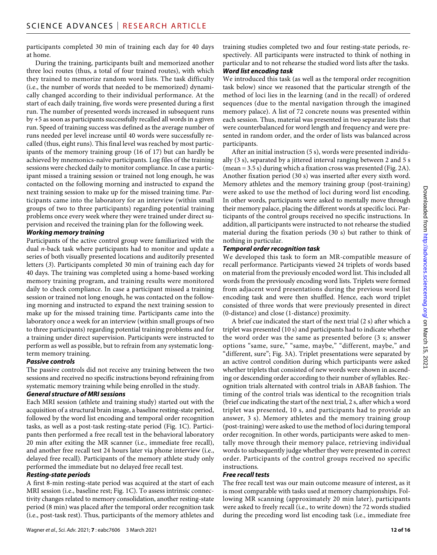participants completed 30 min of training each day for 40 days at home.

During the training, participants built and memorized another three loci routes (thus, a total of four trained routes), with which they trained to memorize random word lists. The task difficulty (i.e., the number of words that needed to be memorized) dynamically changed according to their individual performance. At the start of each daily training, five words were presented during a first run. The number of presented words increased in subsequent runs by +5 as soon as participants successfully recalled all words in a given run. Speed of training success was defined as the average number of runs needed per level increase until 40 words were successfully recalled (thus, eight runs). This final level was reached by most participants of the memory training group (16 of 17) but can hardly be achieved by mnemonics-naïve participants. Log files of the training sessions were checked daily to monitor compliance. In case a participant missed a training session or trained not long enough, he was contacted on the following morning and instructed to expand the next training session to make up for the missed training time. Participants came into the laboratory for an interview (within small groups of two to three participants) regarding potential training problems once every week where they were trained under direct supervision and received the training plan for the following week.

# *Working memory training*

Participants of the active control group were familiarized with the dual *n*-back task where participants had to monitor and update a series of both visually presented locations and auditorily presented letters (*3*). Participants completed 30 min of training each day for 40 days. The training was completed using a home-based working memory training program, and training results were monitored daily to check compliance. In case a participant missed a training session or trained not long enough, he was contacted on the following morning and instructed to expand the next training session to make up for the missed training time. Participants came into the laboratory once a week for an interview (within small groups of two to three participants) regarding potential training problems and for a training under direct supervision. Participants were instructed to perform as well as possible, but to refrain from any systematic longterm memory training.

# *Passive controls*

The passive controls did not receive any training between the two sessions and received no specific instructions beyond refraining from systematic memory training while being enrolled in the study.

# *General structure of MRI sessions*

Each MRI session (athlete and training study) started out with the acquisition of a structural brain image, a baseline resting-state period, followed by the word list encoding and temporal order recognition tasks, as well as a post-task resting-state period (Fig. 1C). Participants then performed a free recall test in the behavioral laboratory 20 min after exiting the MR scanner (i.e., immediate free recall), and another free recall test 24 hours later via phone interview (i.e., delayed free recall). Participants of the memory athlete study only performed the immediate but no delayed free recall test.

# *Resting-state periods*

A first 8-min resting-state period was acquired at the start of each MRI session (i.e., baseline rest; Fig. 1C). To assess intrinsic connectivity changes related to memory consolidation, another resting-state period (8 min) was placed after the temporal order recognition task (i.e., post-task rest). Thus, participants of the memory athletes and

training studies completed two and four resting-state periods, respectively. All participants were instructed to think of nothing in particular and to not rehearse the studied word lists after the tasks.

# *Word list encoding task*

We introduced this task (as well as the temporal order recognition task below) since we reasoned that the particular strength of the method of loci lies in the learning (and in the recall) of ordered sequences (due to the mental navigation through the imagined memory palace). A list of 72 concrete nouns was presented within each session. Thus, material was presented in two separate lists that were counterbalanced for word length and frequency and were presented in random order, and the order of lists was balanced across participants.

After an initial instruction (5 s), words were presented individually (3 s), separated by a jittered interval ranging between 2 and 5 s (mean = 3.5 s) during which a fixation cross was presented (Fig. 2A). Another fixation period (30 s) was inserted after every sixth word. Memory athletes and the memory training group (post-training) were asked to use the method of loci during word list encoding. In other words, participants were asked to mentally move through their memory palace, placing the different words at specific loci. Participants of the control groups received no specific instructions. In addition, all participants were instructed to not rehearse the studied material during the fixation periods (30 s) but rather to think of nothing in particular.

# *Temporal order recognition task*

We developed this task to form an MR-compatible measure of recall performance. Participants viewed 24 triplets of words based on material from the previously encoded word list. This included all words from the previously encoding word lists. Triplets were formed from adjacent word presentations during the previous word list encoding task and were then shuffled. Hence, each word triplet consisted of three words that were previously presented in direct (0-distance) and close (1-distance) proximity.

A brief cue indicated the start of the next trial (2 s) after which a triplet was presented (10 s) and participants had to indicate whether the word order was the same as presented before (3 s; answer options "same, sure," "same, maybe," "different, maybe," and "different, sure"; Fig. 3A). Triplet presentations were separated by an active control condition during which participants were asked whether triplets that consisted of new words were shown in ascending or descending order according to their number of syllables. Recognition trials alternated with control trials in ABAB fashion. The timing of the control trials was identical to the recognition trials (brief cue indicating the start of the next trial, 2 s, after which a word triplet was presented, 10 s, and participants had to provide an answer, 3 s). Memory athletes and the memory training group (post-training) were asked to use the method of loci during temporal order recognition. In other words, participants were asked to mentally move through their memory palace, retrieving individual words to subsequently judge whether they were presented in correct order. Participants of the control groups received no specific instructions.

# *Free recall tests*

The free recall test was our main outcome measure of interest, as it is most comparable with tasks used at memory championships. Following MR scanning (approximately 20 min later), participants were asked to freely recall (i.e., to write down) the 72 words studied during the preceding word list encoding task (i.e., immediate free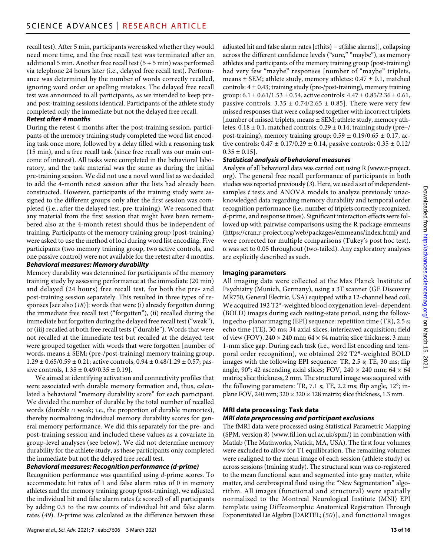recall test). After 5 min, participants were asked whether they would need more time, and the free recall test was terminated after an additional 5 min. Another free recall test  $(5 + 5$  min) was performed via telephone 24 hours later (i.e., delayed free recall test). Performance was determined by the number of words correctly recalled, ignoring word order or spelling mistakes. The delayed free recall test was announced to all participants, as we intended to keep preand post-training sessions identical. Participants of the athlete study completed only the immediate but not the delayed free recall.

# *Retest after 4 months*

During the retest 4 months after the post-training session, participants of the memory training study completed the word list encoding task once more, followed by a delay filled with a reasoning task (15 min), and a free recall task (since free recall was our main outcome of interest). All tasks were completed in the behavioral laboratory, and the task material was the same as during the initial pre-training session. We did not use a novel word list as we decided to add the 4-month retest session after the lists had already been constructed. However, participants of the training study were assigned to the different groups only after the first session was completed (i.e., after the delayed test, pre-training). We reasoned that any material from the first session that might have been remembered also at the 4-month retest should thus be independent of training. Participants of the memory training group (post-training) were asked to use the method of loci during word list encoding. Five participants (two memory training group, two active controls, and one passive control) were not available for the retest after 4 months.

# *Behavioral measures: Memory durability*

Memory durability was determined for participants of the memory training study by assessing performance at the immediate (20 min) and delayed (24 hours) free recall test, for both the pre- and post-training session separately. This resulted in three types of responses [see also (*18*)]: words that were (i) already forgotten during the immediate free recall test ("forgotten"), (ii) recalled during the immediate but forgotten during the delayed free recall test ("weak"), or (iii) recalled at both free recall tests ("durable"). Words that were not recalled at the immediate test but recalled at the delayed test were grouped together with words that were forgotten [number of words, means ± SEM; (pre-/post-training) memory training group,  $1.29 \pm 0.65/0.59 \pm 0.21$ ; active controls,  $0.94 \pm 0.48/1.29 \pm 0.57$ ; passive controls,  $1.35 \pm 0.49/0.35 \pm 0.19$ .

We aimed at identifying activation and connectivity profiles that were associated with durable memory formation and, thus, calculated a behavioral "memory durability score" for each participant. We divided the number of durable by the total number of recalled words (durable ∩ weak; i.e., the proportion of durable memories), thereby normalizing individual memory durability scores for general memory performance. We did this separately for the pre- and post-training session and included these values as a covariate in group-level analyses (see below). We did not determine memory durability for the athlete study, as these participants only completed the immediate but not the delayed free recall test.

# *Behavioral measures: Recognition performance (d-prime)*

Recognition performance was quantified using *d*-prime scores. To accommodate hit rates of 1 and false alarm rates of 0 in memory athletes and the memory training group (post-training), we adjusted the individual hit and false alarm rates (*z* scored) of all participants by adding 0.5 to the raw counts of individual hit and false alarm rates (*49*). *D*-prime was calculated as the difference between these

adjusted hit and false alarm rates [*z*(hits) − *z*(false alarms)], collapsing across the different confidence levels ("sure," "maybe"), as memory athletes and participants of the memory training group (post-training) had very few "maybe" responses [number of "maybe" triplets, means  $\pm$  SEM; athlete study, memory athletes: 0.47  $\pm$  0.1, matched controls:  $4 \pm 0.43$ ; training study (pre-/post-training), memory training group:  $6.1 \pm 0.61/1.53 \pm 0.54$ , active controls:  $4.47 \pm 0.85/2.36 \pm 0.61$ , passive controls:  $3.35 \pm 0.74/2.65 \pm 0.85$ ]. There were very few missed responses that were collapsed together with incorrect triplets [number of missed triplets, means ± SEM; athlete study, memory athletes:  $0.18 \pm 0.1$ , matched controls:  $0.29 \pm 0.14$ ; training study (pre−/ post-training), memory training group:  $0.59 \pm 0.19/0.65 \pm 0.17$ , active controls:  $0.47 \pm 0.17/0.29 \pm 0.14$ , passive controls:  $0.35 \pm 0.12/$  $0.35 \pm 0.15$ .

# *Statistical analysis of behavioral measures*

Analysis of all behavioral data was carried out using R [\(www.r-project.](http://www.r-project.org) [org](http://www.r-project.org)). The general free recall performance of participants in both studies was reported previously (*3*). Here, we used a set of independentsamples *t* tests and ANOVA models to analyze previously unacknowledged data regarding memory durability and temporal order recognition performance (i.e., number of triplets correctly recognized, *d*-prime, and response times). Significant interaction effects were followed up with pairwise comparisons using the R package emmeans [\(https://cran.r-project.org/web/packages/emmeans/index.html](https://cran.r-project.org/web/packages/emmeans/index.html)) and were corrected for multiple comparisons (Tukey's post hoc test).  $\alpha$  was set to 0.05 throughout (two-tailed). Any exploratory analyses are explicitly described as such.

# **Imaging parameters**

All imaging data were collected at the Max Planck Institute of Psychiatry (Munich, Germany), using a 3T scanner (GE Discovery MR750, General Electric, USA) equipped with a 12-channel head coil. We acquired 192 T2\*-weighted blood oxygenation level–dependent (BOLD) images during each resting-state period, using the following echo-planar imaging (EPI) sequence: repetition time (TR), 2.5 s; echo time (TE), 30 ms; 34 axial slices; interleaved acquisition; field of view (FOV),  $240 \times 240$  mm;  $64 \times 64$  matrix; slice thickness, 3 mm; 1-mm slice gap. During each task (i.e., word list encoding and temporal order recognition), we obtained 292 T2\*-weighted BOLD images with the following EPI sequence: TR, 2.5 s; TE, 30 ms; flip angle, 90°; 42 ascending axial slices; FOV, 240  $\times$  240 mm; 64  $\times$  64 matrix; slice thickness, 2 mm. The structural image was acquired with the following parameters: TR, 7.1 s; TE, 2.2 ms; flip angle, 12°; inplane FOV, 240 mm;  $320 \times 320 \times 128$  matrix; slice thickness, 1.3 mm.

# **MRI data processing: Task data**

# *MRI data preprocessing and participant exclusions*

The fMRI data were processed using Statistical Parametric Mapping (SPM, version 8) [\(www.fil.ion.ucl.ac.uk/spm/\)](http://www.fil.ion.ucl.ac.uk/spm/) in combination with Matlab (The Mathworks, Natick, MA, USA). The first four volumes were excluded to allow for T1 equilibration. The remaining volumes were realigned to the mean image of each session (athlete study) or across sessions (training study). The structural scan was co-registered to the mean functional scan and segmented into gray matter, white matter, and cerebrospinal fluid using the "New Segmentation" algorithm. All images (functional and structural) were spatially normalized to the Montreal Neurological Institute (MNI) EPI template using Diffeomorphic Anatomical Registration Through Exponentiated Lie Algebra [DARTEL; (*50*)], and functional images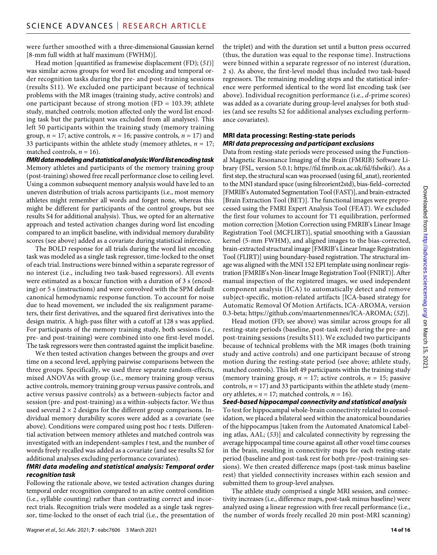were further smoothed with a three-dimensional Gaussian kernel [8-mm full width at half maximum (FWHM)].

Head motion [quantified as framewise displacement (FD); (*51*)] was similar across groups for word list encoding and temporal order recognition tasks during the pre- and post-training sessions (results S11). We excluded one participant because of technical problems with the MR images (training study, active controls) and one participant because of strong motion (FD =  $103.39$ ; athlete study, matched controls; motion affected only the word list encoding task but the participant was excluded from all analyses). This left 50 participants within the training study (memory training group,  $n = 17$ ; active controls,  $n = 16$ ; passive controls,  $n = 17$ ) and 33 participants within the athlete study (memory athletes,  $n = 17$ ; matched controls,  $n = 16$ ).

*fMRI data modeling andstatistical analysis: Word list encoding task* Memory athletes and participants of the memory training group (post-training) showed free recall performance close to ceiling level. Using a common subsequent memory analysis would have led to an uneven distribution of trials across participants (i.e., most memory athletes might remember all words and forget none, whereas this might be different for participants of the control groups, but see results S4 for additional analysis). Thus, we opted for an alternative approach and tested activation changes during word list encoding compared to an implicit baseline, with individual memory durability scores (see above) added as a covariate during statistical inference.

The BOLD response for all trials during the word list encoding task was modeled as a single task regressor, time-locked to the onset of each trial. Instructions were binned within a separate regressor of no interest (i.e., including two task-based regressors). All events were estimated as a boxcar function with a duration of 3 s (encoding) or 5 s (instructions) and were convolved with the SPM default canonical hemodynamic response function. To account for noise due to head movement, we included the six realignment parameters, their first derivatives, and the squared first derivatives into the design matrix. A high-pass filter with a cutoff at 128 s was applied. For participants of the memory training study, both sessions (i.e., pre- and post-training) were combined into one first-level model. The task regressors were then contrasted against the implicit baseline.

We then tested activation changes between the groups and over time on a second level, applying pairwise comparisons between the three groups. Specifically, we used three separate random-effects, mixed ANOVAs with group (i.e., memory training group versus active controls, memory training group versus passive controls, and active versus passive controls) as a between-subjects factor and session (pre- and post-training) as a within-subjects factor. We thus used several  $2 \times 2$  designs for the different group comparisons. Individual memory durability scores were added as a covariate (see above). Conditions were compared using post hoc *t* tests. Differential activation between memory athletes and matched controls was investigated with an independent-samples *t* test, and the number of words freely recalled was added as a covariate (and see results S2 for additional analyses excluding performance covariates).

# *fMRI data modeling and statistical analysis: Temporal order recognition task*

Following the rationale above, we tested activation changes during temporal order recognition compared to an active control condition (i.e., syllable counting) rather than contrasting correct and incorrect trials. Recognition trials were modeled as a single task regressor, time-locked to the onset of each trial (i.e., the presentation of the triplet) and with the duration set until a button press occurred (thus, the duration was equal to the response time). Instructions were binned within a separate regressor of no interest (duration, 2 s). As above, the first-level model thus included two task-based regressors. The remaining modeling steps and the statistical inference were performed identical to the word list encoding task (see above). Individual recognition performance (i.e., *d*-prime scores) was added as a covariate during group-level analyses for both studies (and see results S2 for additional analyses excluding performance covariates).

# **MRI data processing: Resting-state periods** *MRI data preprocessing and participant exclusions*

Data from resting-state periods were processed using the Functional Magnetic Resonance Imaging of the Brain (FMRIB) Software Library (FSL, version 5.0.1; [https://fsl.fmrib.ox.ac.uk/fsl/fslwiki/\)](https://fsl.fmrib.ox.ac.uk/fsl/fslwiki/). As a first step, the structural scan was processed (using fsl\_anat), reoriented to the MNI standard space (using fslreorient2std), bias-field–corrected [FMRIB's Automated Segmentation Tool (FAST)], and brain-extracted [Brain Extraction Tool (BET)]. The functional images were preprocessed using the FMRI Expert Analysis Tool (FEAT). We excluded the first four volumes to account for T1 equilibration, performed motion correction [Motion Correction using FMRIB's Linear Image Registration Tool (MCFLIRT)], spatial smoothing with a Gaussian kernel (5-mm FWHM), and aligned images to the bias-corrected, brain-extracted structural image [FMRIB's Linear Image Registration Tool (FLIRT)] using boundary-based registration. The structural image was aligned with the MNI 152 EPI template using nonlinear registration [FMRIB's Non-linear Image Registration Tool (FNIRT)]. After manual inspection of the registered images, we used independent component analysis (ICA) to automatically detect and remove subject-specific, motion-related artifacts [ICA-based strategy for Automatic Removal Of Motion Artifacts, ICA-AROMA, version 0.3-beta; <https://github.com/maartenmennes/ICA-AROMA>; (*52*)].

Head motion (FD; see above) was similar across groups for all resting-state periods (baseline, post-task rest) during the pre- and post-training sessions (results S11). We excluded two participants because of technical problems with the MR images (both training study and active controls) and one participant because of strong motion during the resting-state period (see above; athlete study, matched controls). This left 49 participants within the training study (memory training group,  $n = 17$ ; active controls,  $n = 15$ ; passive controls,  $n = 17$ ) and 33 participants within the athlete study (memory athletes,  $n = 17$ ; matched controls,  $n = 16$ ).

*Seed-based hippocampal connectivity and statistical analysis* To test for hippocampal whole-brain connectivity related to consolidation, we placed a bilateral seed within the anatomical boundaries of the hippocampus [taken from the Automated Anatomical Labeling atlas, AAL; (*53*)] and calculated connectivity by regressing the average hippocampal time course against all other voxel time courses in the brain, resulting in connectivity maps for each resting-state period (baseline and post-task rest for both pre-/post-training sessions). We then created difference maps (post-task minus baseline rest) that yielded connectivity increases within each session and submitted them to group-level analyses.

The athlete study comprised a single MRI session, and connectivity increases (i.e., difference maps, post-task minus baseline) were analyzed using a linear regression with free recall performance (i.e., the number of words freely recalled 20 min post-MRI scanning)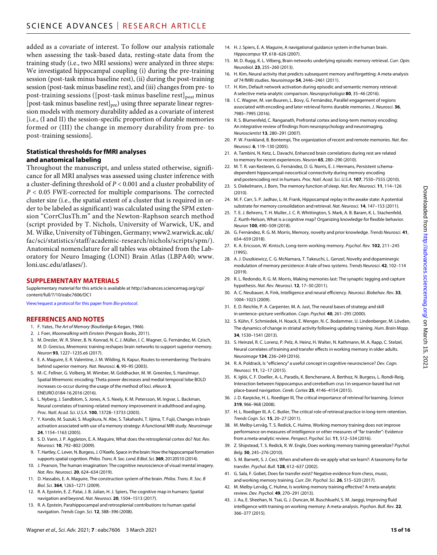added as a covariate of interest. To follow our analysis rationale when assessing the task-based data, resting-state data from the training study (i.e., two MRI sessions) were analyzed in three steps: We investigated hippocampal coupling (i) during the pre-training session (post-task minus baseline rest), (ii) during the post-training session (post-task minus baseline rest), and (iii) changes from pre- to post-training sessions ([post-task minus baseline rest] $_{\text{post}}$  minus [post-task minus baseline rest] $_{pre}$ ) using three separate linear regression models with memory durability added as a covariate of interest [i.e., (I and II) the session-specific proportion of durable memories formed or (III) the change in memory durability from pre- to post-training sessions].

# **Statistical thresholds forfMRI analyses and anatomical labeling**

Throughout the manuscript, and unless stated otherwise, significance for all MRI analyses was assessed using cluster inference with a cluster-defining threshold of *P* < 0.001 and a cluster probability of *P* < 0.05 FWE-corrected for multiple comparisons. The corrected cluster size (i.e., the spatial extent of a cluster that is required in order to be labeled as significant) was calculated using the SPM extension "CorrClusTh.m" and the Newton-Raphson search method (script provided by T. Nichols, University of Warwick, UK, and M. Wilke, University of Tübingen, Germany; [www2.warwick.ac.uk/](http://www2.warwick.ac.uk/fac/sci/statistics/staff/academic-research/nichols/scripts/spm/) [fac/sci/statistics/staff/academic-research/nichols/scripts/spm/](http://www2.warwick.ac.uk/fac/sci/statistics/staff/academic-research/nichols/scripts/spm/)). Anatomical nomenclature for all tables was obtained from the Laboratory for Neuro Imaging (LONI) Brain Atlas (LBPA40; [www.](http://www.loni.usc.edu/atlases/) [loni.usc.edu/atlases/\)](http://www.loni.usc.edu/atlases/).

# **SUPPLEMENTARY MATERIALS**

Supplementary material for this article is available at [http://advances.sciencemag.org/cgi/](http://advances.sciencemag.org/cgi/content/full/7/10/eabc7606/DC1) [content/full/7/10/eabc7606/DC1](http://advances.sciencemag.org/cgi/content/full/7/10/eabc7606/DC1)

[View/request a protocol for this paper from](https://en.bio-protocol.org/cjrap.aspx?eid=10.1126/sciadv.abc7606) *Bio-protocol*.

# **REFERENCES AND NOTES**

- 1. F. Yates, *The Art of Memory* (Routledge & Kegan, 1966).
- 2. J. Foer, *Moonwalking with Einstein* (Penguin Books, 2011).
- 3. M. Dresler, W. R. Shirer, B. N. Konrad, N. C. J. Müller, I. C. Wagner, G. Fernández, M. Czisch, M. D. Greicius, Mnemonic training reshapes brain networks to support superior memory. *Neuron* **93**, 1227–1235.e6 (2017).
- 4. E. A. Maguire, E. R. Valentine, J. M. Wilding, N. Kapur, Routes to remembering: The brains behind superior memory. *Nat. Neurosci.* **6**, 90–95 (2003).
- 5. M.-C. Fellner, G. Volberg, M. Wimber, M. Goldhacker, M. W. Greenlee, S. Hanslmayr, Spatial Mnemonic encoding: Theta power decreases and medial temporal lobe BOLD increases co-occur during the usage of the method of loci. *eNeuro* **3**, ENEURO.0184-16.2016 (2016).
- 6. L. Nyberg, J. Sandblom, S. Jones, A. S. Neely, K. M. Petersson, M. Ingvar, L. Backman, Neural correlates of training-related memory improvement in adulthood and aging. *Proc. Natl. Acad. Sci. U.S.A.* **100**, 13728–13733 (2003).
- 7. Y. Kondo, M. Suzuki, S. Mugikura, N. Abe, S. Takahashi, T. Iijima, T. Fujii, Changes in brain activation associated with use of a memory strategy: A functional MRI study. *Neuroimage* **24**, 1154–1163 (2005).
- 8. S. D. Vann, J. P. Aggleton, E. A. Maguire, What does the retrosplenial cortex do? *Nat. Rev. Neurosci.* **10**, 792–802 (2009).
- 9. T. Hartley, C. Lever, N. Burgess, J.O'Keefe, Space inthebrain: How thehippocampal formation supports spatial cognition. *Philos. Trans. R. Soc. Lond. B Biol. Sci.* **369**, 20120510 (2014).
- 10. J. Pearson, The human imagination: The cognitive neuroscience of visual mental imagery. *Nat. Rev. Neurosci.* **20**, 624–634 (2019).
- 11. D. Hassabis, E. A. Maguire, The construction system of the brain. *Philos. Trans. R. Soc. B Biol. Sci.* **364**, 1263–1271 (2009).
- 12. R. A. Epstein, E. Z. Patai, J. B. Julian, H. J. Spiers, The cognitive map in humans: Spatial navigation and beyond. *Nat. Neurosci.* **20**, 1504–1513 (2017).
- 13. R. A. Epstein, Parahippocampal and retrosplenial contributions to human spatial navigation. *Trends Cogn. Sci.* **12**, 388–396 (2008).
- 14. H. J. Spiers, E. A. Maguire, A navigational guidance system in the human brain. *Hippocampus* **17**, 618–626 (2007).
- 15. M. D. Rugg, K. L. Vilberg, Brain networks underlying episodic memory retrieval. *Curr. Opin. Neurobiol.* **23**, 255–260 (2013).
- 16. H. Kim, Neural activity that predicts subsequent memory and forgetting: A meta-analysis of 74 fMRI studies. *Neuroimage* **54**, 2446–2461 (2011).
- 17. H. Kim, Default network activation during episodic and semantic memory retrieval: A selective meta-analytic comparison. *Neuropsychologia* **80**, 35–46 (2016).
- 18. I. C. Wagner, M. van Buuren, L. Bovy, G. Fernández, Parallel engagement of regions associated with encoding and later retrieval forms durable memories. *J. Neurosci.* **36**, 7985–7995 (2016).
- 19. R. S. Blumenfeld, C. Ranganath, Prefrontal cortex and long-term memory encoding: An integrative review of findings from neuropsychology and neuroimaging. *Neuroscientist* **13**, 280–291 (2007).
- 20. P. W. Frankland, B. Bontempi, The organization of recent and remote memories. *Nat. Rev. Neurosci.* **6**, 119–130 (2005).
- 21. A. Tambini, N. Ketz, L. Davachi, Enhanced brain correlations during rest are related to memory for recent experiences. *Neuron* **65**, 280–290 (2010).
- 22. M. T. R. van Kesteren, G. Fernández, D. G. Norris, E. J. Hermans, Persistent schemadependent hippocampal-neocortical connectivity during memory encoding and postencoding rest in humans. *Proc. Natl. Acad. Sci. U.S.A.* **107**, 7550–7555 (2010).
- 23. S. Diekelmann, J. Born, The memory function ofsleep. *Nat. Rev. Neurosci.* **11**, 114–126 (2010).
- 24. M. F. Carr, S. P. Jadhav, L. M. Frank, Hippocampal replay in the awake state: A potential substrate for memory consolidation and retrieval. *Nat. Neurosci.* **14**, 147–153 (2011).
- 25. T. E. J. Behrens, T. H. Muller, J. C. R. Whittington, S. Mark, A. B. Baram, K. L. Stachenfeld, Z. Kurth-Nelson, What is a cognitive map? Organizing knowledge for flexible behavior. *Neuron* **100**, 490–509 (2018).
- 26. G. Fernández, R. G. M. Morris, Memory, novelty and prior knowledge. *Trends Neurosci.* **41**, 654–659 (2018).
- 27. K. A. Ericsson, W. Kintsch, Long-term working memory. *Psychol. Rev.* **102**, 211–245 (1995).
- 28. A. J. Duszkiewicz, C. G. McNamara, T. Takeuchi, L. Genzel, Novelty and dopaminergic modulation of memory persistence: A tale of two systems. *Trends Neurosci.* **42**, 102–114 (2019).
- 29. R. L. Redondo, R. G. M. Morris, Making memories last: The synaptic tagging and capture hypothesis. *Nat. Rev. Neurosci.* **12**, 17–30 (2011).
- 30. A. C. Neubauer, A. Fink, Intelligence and neural efficiency. *Neurosci. Biobehav. Rev.* **33**, 1004–1023 (2009).
- 31. E. D. Reichle, P. A. Carpenter, M. A. Just, The neural bases of strategy and skill in sentence–picture verification. *Cogn. Psychol.* **40**, 261–295 (2000).
- 32. S. Kühn, F. Schmiedek, H. Noack, E. Wenger, N. C. Bodammer, U. Lindenberger, M. Lövden, The dynamics of change in striatal activity following updating training. *Hum. Brain Mapp.* **34**, 1530–1541 (2013).
- 33. S. Heinzel, R. C. Lorenz, P. Pelz, A. Heinz, H. Walter, N. Kathmann, M. A. Rapp, C. Stelzel, Neural correlates of training and transfer effects in working memory in older adults. *Neuroimage* **134**, 236–249 (2016).
- 34. R. A. Poldrack, Is "efficiency" a useful concept in cognitive neuroscience? *Dev. Cogn. Neurosci.* **11**, 12–17 (2015).
- 35. K. Iglói, C. F. Doeller, A.-L. Paradis, K. Benchenane, A. Berthoz, N. Burgess, L. Rondi-Reig, Interaction between hippocampus and cerebellum crus I in sequence-based but not place-based navigation. *Cereb. Cortex* **25**, 4146–4154 (2015).
- 36. J. D. Karpicke, H. L. Roediger III, The critical importance of retrieval for learning. *Science* **319**, 966–968 (2008).
- 37. H. L. Roediger III, A. C. Butler, The critical role of retrieval practice in long-term retention. *Trends Cogn. Sci.* **15**, 20–27 (2011).
- 38. M. Melby-Lervåg, T. S. Redick, C. Hulme, Working memory training does not improve performance on measures of intelligence or other measures of"far transfer": Evidence from a meta-analytic review. *Perspect. Psychol. Sci.* **11**, 512–534 (2016).
- 39. Z. Shipstead, T. S. Redick, R. W. Engle, Does working memory training generalize? *Psychol. Belg.* **50**, 245–276 (2010).
- 40. S. M. Barnett, S. J. Ceci, When and where do we apply what we learn?: A taxonomy for far transfer. *Psychol. Bull.* **128**, 612–637 (2002).
- 41. G. Sala, F. Gobet, Does far transfer exist? Negative evidence from chess, music, and working memory training. *Curr. Dir. Psychol. Sci.* **26**, 515–520 (2017).
- 42. M. Melby-Lervåg, C. Hulme, Is working memory training effective? A meta-analytic review. *Dev. Psychol.* **49**, 270–291 (2013).
- 43. J. Au, E. Sheehan, N. Tsai, G. J. Duncan, M. Buschkuehl, S. M. Jaeggi, Improving fluid intelligence with training on working memory: A meta-analysis. *Psychon. Bull. Rev.* **22**, 366–377 (2015).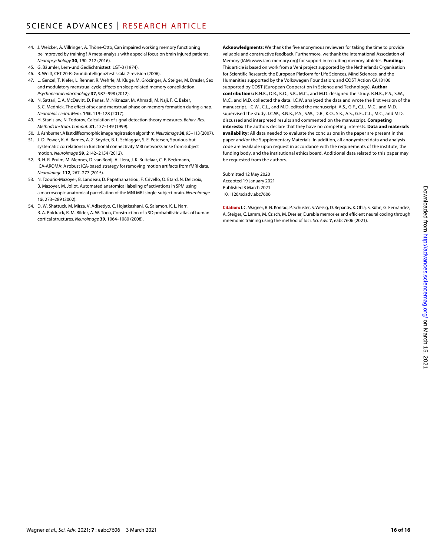- 44. J. Weicker, A. Villringer, A. Thöne-Otto, Can impaired working memory functioning be improved by training? A meta-analysis with a special focus on brain injured patients. *Neuropsychology* **30**, 190–212 (2016).
- 45. G. Bäumler, Lern-und Gedächtnistest: LGT-3 (1974).
- 46. R. Weiß, CFT 20-R: Grundintelligenztest skala 2-revision (2006).
- 47. L. Genzel, T. Kiefer, L. Renner, R. Wehrle, M. Kluge, M. Grözinger, A. Steiger, M. Dresler, Sex and modulatory menstrual cycle effects on sleep related memory consolidation. *Psychoneuroendocrinology* **37**, 987–998 (2012).
- 48. N. Sattari, E. A. McDevitt, D. Panas, M. Niknazar, M. Ahmadi, M. Naji, F. C. Baker, S. C. Mednick, The effect of sex and menstrual phase on memory formation during a nap. *Neurobiol. Learn. Mem.* **145**, 119–128 (2017).
- 49. H. Stanislaw, N. Todorov, Calculation ofsignal detection theory measures. *Behav. Res. Methods Instrum. Comput.* **31**, 137–149 (1999).
- 50. J. Ashburner, A fast diffeomorphic image registration algorithm. *Neuroimage***38**, 95–113 (2007).
- 51. J. D. Power, K. A. Barnes, A. Z. Snyder, B. L. Schlaggar, S. E. Petersen, Spurious but systematic correlations in functional connectivity MRI networks arise from subject motion. *Neuroimage* **59**, 2142–2154 (2012).
- 52. R. H. R. Pruim, M. Mennes, D. van Rooij, A. Llera, J. K. Buitelaar, C. F. Beckmann, ICA-AROMA: A robust ICA-based strategy for removing motion artifacts from fMRI data. *Neuroimage* **112**, 267–277 (2015).
- 53. N. Tzourio-Mazoyer, B. Landeau, D. Papathanassiou, F. Crivello, O. Etard, N. Delcroix, B. Mazoyer, M. Joliot, Automated anatomical labeling of activations in SPM using a macroscopic anatomical parcellation of the MNI MRI single-subject brain. *Neuroimage* **15**, 273–289 (2002).
- 54. D. W. Shattuck, M. Mirza, V. Adisetiyo, C. Hojatkashani, G. Salamon, K. L. Narr, R. A. Poldrack, R. M. Bilder, A. W. Toga, Construction of a 3D probabilistic atlas of human cortical structures. *Neuroimage* **39**, 1064–1080 (2008).

**Acknowledgments:** We thank the five anonymous reviewers for taking the time to provide valuable and constructive feedback. Furthermore, we thank the International Association of Memory (IAM; [www.iam-memory.org\)](http://www.iam-memory.org) for support in recruiting memory athletes. **Funding:** This article is based on work from a Veni project supported by the Netherlands Organisation for Scientific Research; the European Platform for Life Sciences, Mind Sciences, and the Humanities supported by the Volkswagen Foundation; and COST Action CA18106 supported by COST (European Cooperation in Science and Technology). **Author contributions:** B.N.K., D.R., K.O., S.K., M.C., and M.D. designed the study. B.N.K., P.S., S.W., M.C., and M.D. collected the data. I.C.W. analyzed the data and wrote the first version of the manuscript. I.C.W., C.L., and M.D. edited the manuscript. A.S., G.F., C.L., M.C., and M.D. supervised the study. I.C.W., B.N.K., P.S., S.W., D.R., K.O., S.K., A.S., G.F., C.L., M.C., and M.D. discussed and interpreted results and commented on the manuscript. **Competing interests:** The authors declare that they have no competing interests. **Data and materials availability:** All data needed to evaluate the conclusions in the paper are present in the paper and/or the Supplementary Materials. In addition, all anonymized data and analysis code are available upon request in accordance with the requirements of the institute, the funding body, and the institutional ethics board. Additional data related to this paper may be requested from the authors.

Submitted 12 May 2020 Accepted 19 January 2021 Published 3 March 2021 10.1126/sciadv.abc7606

**Citation:** I. C. Wagner, B.N. Konrad, P. Schuster, S. Weisig, D. Repantis, K.Ohla, S. Kühn, G. Fernández, A. Steiger, C. Lamm, M. Czisch, M. Dresler, Durable memories and efficient neural coding through mnemonic training using the method of loci. *Sci. Adv.* **7**, eabc7606 (2021).